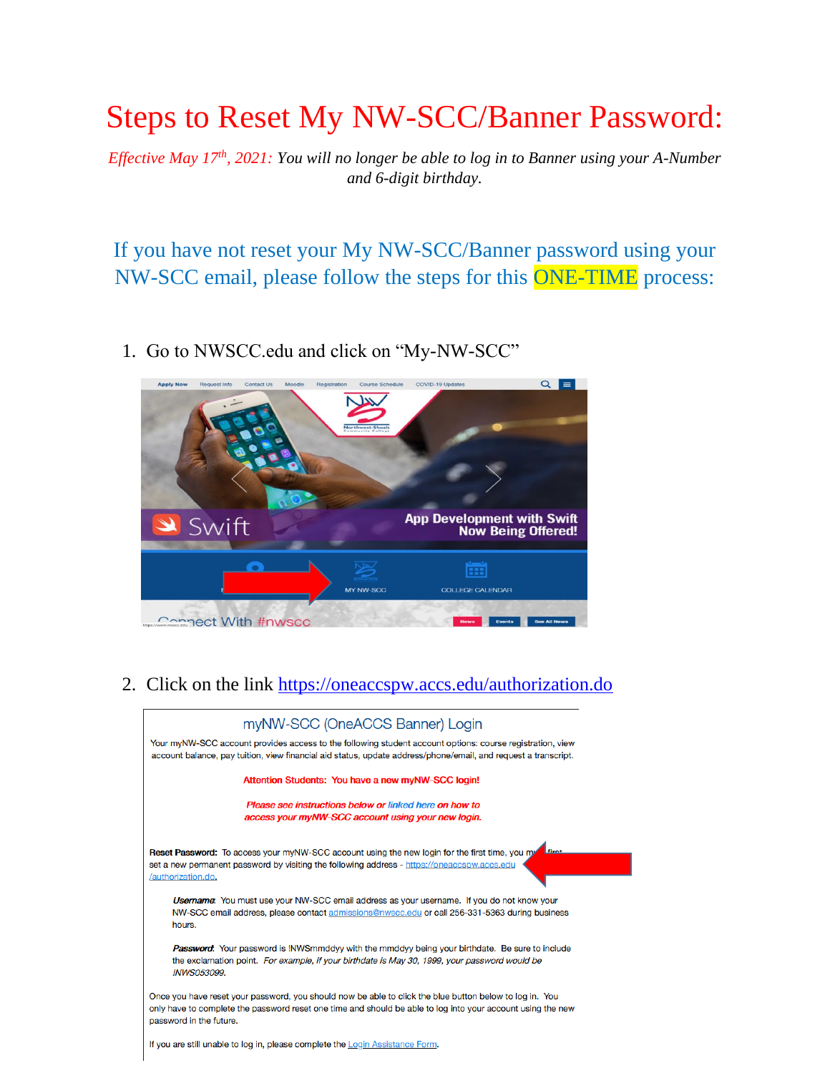## Steps to Reset My NW-SCC/Banner Password:

*Effective May 17th, 2021: You will no longer be able to log in to Banner using your A-Number and 6-digit birthday.* 

If you have not reset your My NW-SCC/Banner password using your NW-SCC email, please follow the steps for this ONE-TIME process:

1. Go to NWSCC.edu and click on "My-NW-SCC"



2. Click on the link<https://oneaccspw.accs.edu/authorization.do>

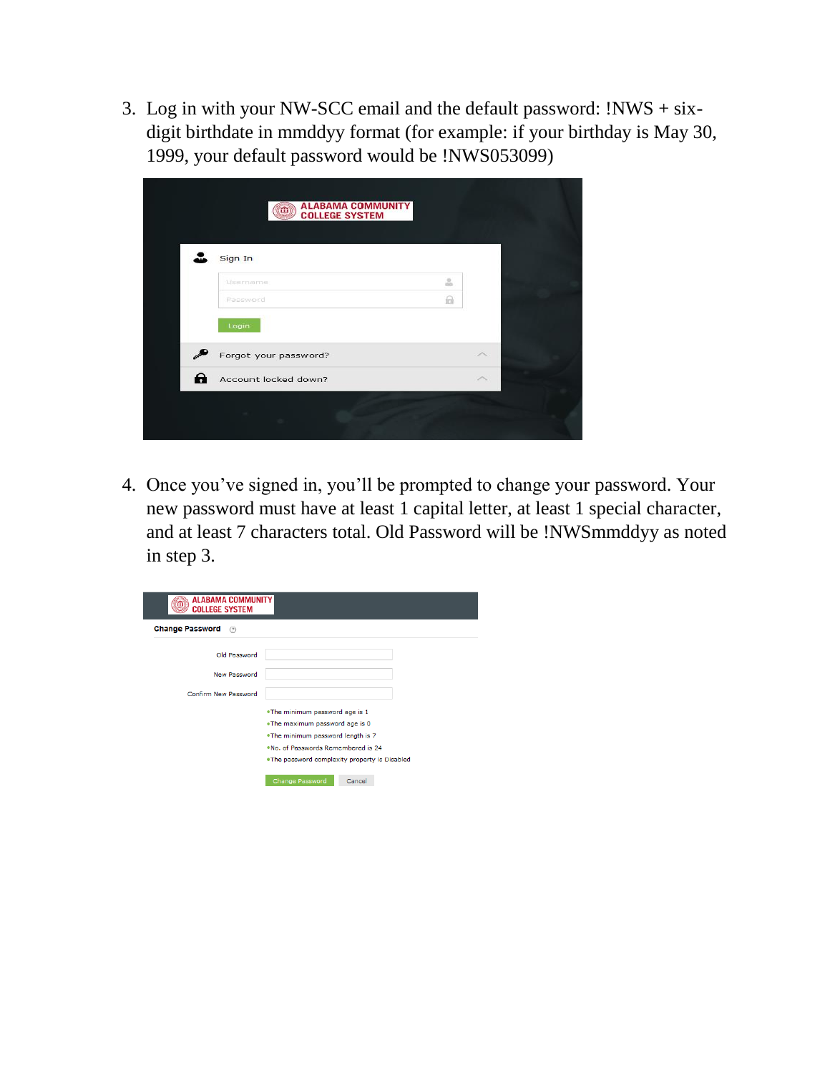3. Log in with your NW-SCC email and the default password: !NWS + sixdigit birthdate in mmddyy format (for example: if your birthday is May 30, 1999, your default password would be !NWS053099)

|   | <b>ALABAMA COMMUNITY</b><br>m<br><b>COLLEGE SYSTEM</b><br>Sign In |               |   |  |
|---|-------------------------------------------------------------------|---------------|---|--|
|   | Username<br>Password<br>Login                                     | å<br>$\theta$ |   |  |
| ₽ | Forgot your password?                                             |               | ́ |  |
| θ | Account locked down?                                              |               | ́ |  |
|   |                                                                   |               |   |  |

4. Once you've signed in, you'll be prompted to change your password. Your new password must have at least 1 capital letter, at least 1 special character, and at least 7 characters total. Old Password will be !NWSmmddyy as noted in step 3.

| <b>ALABAMA COMMUNITY</b><br>m<br><b>COLLEGE SYSTEM</b><br><b>Change Password</b><br>$\circledR$ |  |  |  |  |  |  |
|-------------------------------------------------------------------------------------------------|--|--|--|--|--|--|
|                                                                                                 |  |  |  |  |  |  |